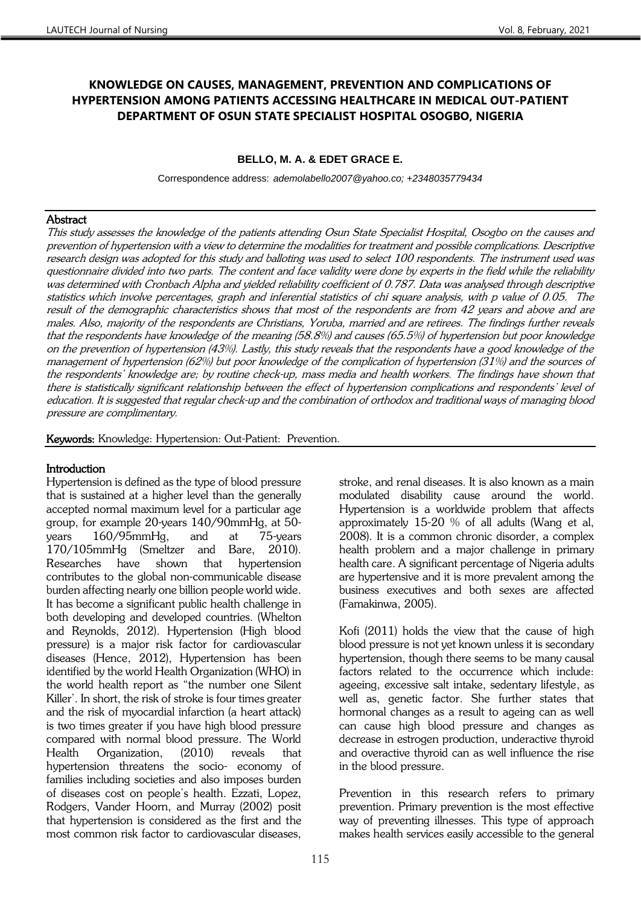# **KNOWLEDGE ON CAUSES, MANAGEMENT, PREVENTION AND COMPLICATIONS OF HYPERTENSION AMONG PATIENTS ACCESSING HEALTHCARE IN MEDICAL OUT-PATIENT DEPARTMENT OF OSUN STATE SPECIALIST HOSPITAL OSOGBO, NIGERIA**

## **BELLO, M. A. & EDET GRACE E.**

Correspondence address: *ademolabello2007@yahoo.co; +2348035779434*

### **Abstract**

This study assesses the knowledge of the patients attending Osun State Specialist Hospital, Osogbo on the causes and prevention of hypertension with a view to determine the modalities for treatment and possible complications. Descriptive research design was adopted for this study and balloting was used to select 100 respondents. The instrument used was questionnaire divided into two parts. The content and face validity were done by experts in the field while the reliability was determined with Cronbach Alpha and yielded reliability coefficient of 0.787. Data was analysed through descriptive statistics which involve percentages, graph and inferential statistics of chi square analysis, with p value of 0.05. The result of the demographic characteristics shows that most of the respondents are from 42 years and above and are males. Also, majority of the respondents are Christians, Yoruba, married and are retirees. The findings further reveals that the respondents have knowledge of the meaning (58.8%) and causes (65.5%) of hypertension but poor knowledge on the prevention of hypertension (43%). Lastly, this study reveals that the respondents have a good knowledge of the management of hypertension (62%) but poor knowledge of the complication of hypertension (31%) and the sources of the respondents' knowledge are; by routine check-up, mass media and health workers. The findings have shown that there is statistically significant relationship between the effect of hypertension complications and respondents' level of education. It is suggested that regular check-up and the combination of orthodox and traditional ways of managing blood pressure are complimentary.

Keywords: Knowledge: Hypertension: Out-Patient: Prevention.

## Introduction

Hypertension is defined as the type of blood pressure that is sustained at a higher level than the generally accepted normal maximum level for a particular age group, for example 20-years 140/90mmHg, at 50 years 160/95mmHg, and at 75-years 170/105mmHg (Smeltzer and Bare, 2010). Researches have shown that hypertension contributes to the global non-communicable disease burden affecting nearly one billion people world wide. It has become a significant public health challenge in both developing and developed countries. (Whelton and Reynolds, 2012). Hypertension (High blood pressure) is a major risk factor for cardiovascular diseases (Hence, 2012), Hypertension has been identified by the world Health Organization (WHO) in the world health report as "the number one Silent Killer'. In short, the risk of stroke is four times greater and the risk of myocardial infarction (a heart attack) is two times greater if you have high blood pressure compared with normal blood pressure. The World Health Organization, (2010) reveals that hypertension threatens the socio- economy of families including societies and also imposes burden of diseases cost on people's health. Ezzati, Lopez, Rodgers, Vander Hoorn, and Murray (2002) posit that hypertension is considered as the first and the most common risk factor to cardiovascular diseases,

stroke, and renal diseases. It is also known as a main modulated disability cause around the world. Hypertension is a worldwide problem that affects approximately 15-20 % of all adults (Wang et al, 2008). It is a common chronic disorder, a complex health problem and a major challenge in primary health care. A significant percentage of Nigeria adults are hypertensive and it is more prevalent among the business executives and both sexes are affected (Famakinwa, 2005).

Kofi (2011) holds the view that the cause of high blood pressure is not yet known unless it is secondary hypertension, though there seems to be many causal factors related to the occurrence which include: ageeing, excessive salt intake, sedentary lifestyle, as well as, genetic factor. She further states that hormonal changes as a result to ageing can as well can cause high blood pressure and changes as decrease in estrogen production, underactive thyroid and overactive thyroid can as well influence the rise in the blood pressure.

Prevention in this research refers to primary prevention. Primary prevention is the most effective way of preventing illnesses. This type of approach makes health services easily accessible to the general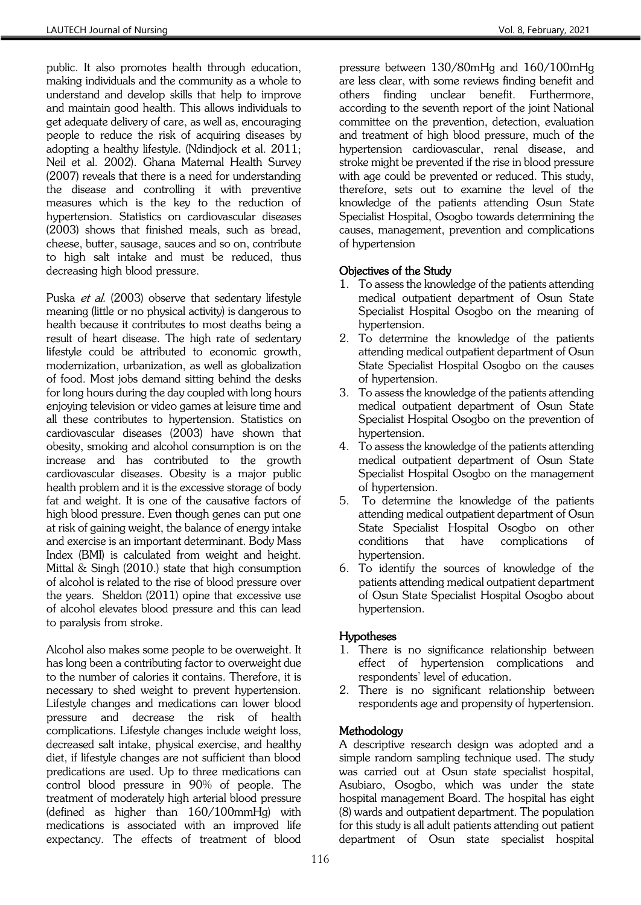public. It also promotes health through education, making individuals and the community as a whole to understand and develop skills that help to improve and maintain good health. This allows individuals to get adequate delivery of care, as well as, encouraging people to reduce the risk of acquiring diseases by adopting a healthy lifestyle. (Ndindjock et al. 2011; Neil et al. 2002). Ghana Maternal Health Survey (2007) reveals that there is a need for understanding the disease and controlling it with preventive measures which is the key to the reduction of hypertension. Statistics on cardiovascular diseases (2003) shows that finished meals, such as bread, cheese, butter, sausage, sauces and so on, contribute to high salt intake and must be reduced, thus decreasing high blood pressure.

Puska *et al.* (2003) observe that sedentary lifestyle meaning (little or no physical activity) is dangerous to health because it contributes to most deaths being a result of heart disease. The high rate of sedentary lifestyle could be attributed to economic growth, modernization, urbanization, as well as globalization of food. Most jobs demand sitting behind the desks for long hours during the day coupled with long hours enjoying television or video games at leisure time and all these contributes to hypertension. Statistics on cardiovascular diseases (2003) have shown that obesity, smoking and alcohol consumption is on the increase and has contributed to the growth cardiovascular diseases. Obesity is a major public health problem and it is the excessive storage of body fat and weight. It is one of the causative factors of high blood pressure. Even though genes can put one at risk of gaining weight, the balance of energy intake and exercise is an important determinant. Body Mass Index (BMI) is calculated from weight and height. Mittal & Singh (2010.) state that high consumption of alcohol is related to the rise of blood pressure over the years. Sheldon (2011) opine that excessive use of alcohol elevates blood pressure and this can lead to paralysis from stroke.

Alcohol also makes some people to be overweight. It has long been a contributing factor to overweight due to the number of calories it contains. Therefore, it is necessary to shed weight to prevent hypertension. Lifestyle changes and medications can lower blood pressure and decrease the risk of health complications. Lifestyle changes include weight loss, decreased salt intake, physical exercise, and healthy diet, if lifestyle changes are not sufficient than blood predications are used. Up to three medications can control blood pressure in 90% of people. The treatment of moderately high arterial blood pressure (defined as higher than 160/100mmHg) with medications is associated with an improved life expectancy. The effects of treatment of blood

pressure between 130/80mHg and 160/100mHg are less clear, with some reviews finding benefit and others finding unclear benefit. Furthermore, according to the seventh report of the joint National committee on the prevention, detection, evaluation and treatment of high blood pressure, much of the hypertension cardiovascular, renal disease, and stroke might be prevented if the rise in blood pressure with age could be prevented or reduced. This study, therefore, sets out to examine the level of the knowledge of the patients attending Osun State Specialist Hospital, Osogbo towards determining the causes, management, prevention and complications of hypertension

## Objectives of the Study

- 1. To assess the knowledge of the patients attending medical outpatient department of Osun State Specialist Hospital Osogbo on the meaning of hypertension.
- 2. To determine the knowledge of the patients attending medical outpatient department of Osun State Specialist Hospital Osogbo on the causes of hypertension.
- 3. To assess the knowledge of the patients attending medical outpatient department of Osun State Specialist Hospital Osogbo on the prevention of hypertension.
- 4. To assess the knowledge of the patients attending medical outpatient department of Osun State Specialist Hospital Osogbo on the management of hypertension.
- 5. To determine the knowledge of the patients attending medical outpatient department of Osun State Specialist Hospital Osogbo on other conditions that have complications of hypertension.
- 6. To identify the sources of knowledge of the patients attending medical outpatient department of Osun State Specialist Hospital Osogbo about hypertension.

### Hypotheses

- 1. There is no significance relationship between effect of hypertension complications and respondents' level of education.
- 2. There is no significant relationship between respondents age and propensity of hypertension.

## Methodology

A descriptive research design was adopted and a simple random sampling technique used. The study was carried out at Osun state specialist hospital, Asubiaro, Osogbo, which was under the state hospital management Board. The hospital has eight (8) wards and outpatient department. The population for this study is all adult patients attending out patient department of Osun state specialist hospital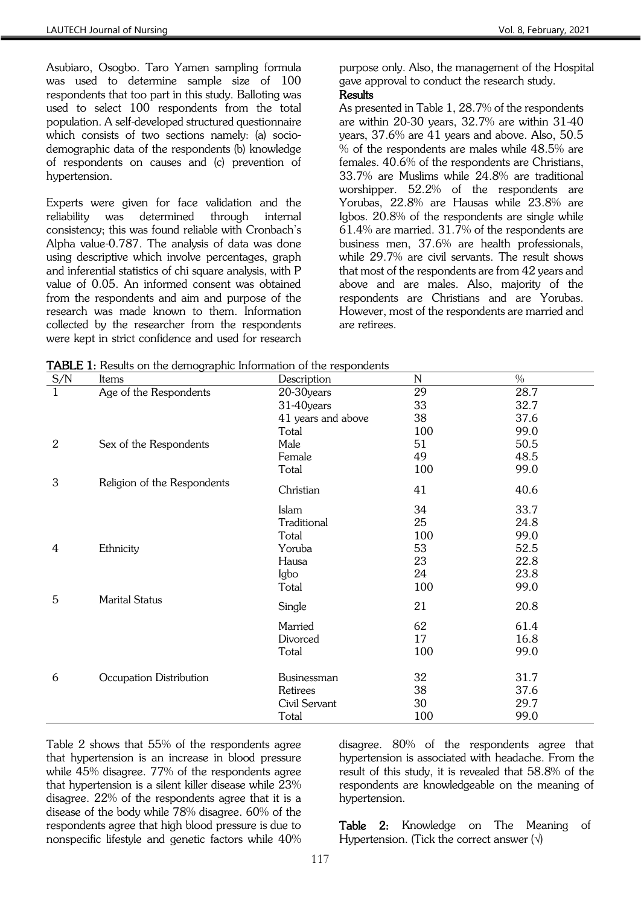Asubiaro, Osogbo. Taro Yamen sampling formula was used to determine sample size of 100 respondents that too part in this study. Balloting was used to select 100 respondents from the total population. A self-developed structured questionnaire which consists of two sections namely: (a) sociodemographic data of the respondents (b) knowledge of respondents on causes and (c) prevention of hypertension.

Experts were given for face validation and the reliability was determined through internal consistency; this was found reliable with Cronbach's Alpha value-0.787. The analysis of data was done using descriptive which involve percentages, graph and inferential statistics of chi square analysis, with P value of 0.05. An informed consent was obtained from the respondents and aim and purpose of the research was made known to them. Information collected by the researcher from the respondents were kept in strict confidence and used for research

purpose only. Also, the management of the Hospital gave approval to conduct the research study. **Results** 

As presented in Table 1, 28.7% of the respondents are within 20-30 years, 32.7% are within 31-40 years, 37.6% are 41 years and above. Also, 50.5 % of the respondents are males while 48.5% are females. 40.6% of the respondents are Christians, 33.7% are Muslims while 24.8% are traditional worshipper. 52.2% of the respondents are Yorubas, 22.8% are Hausas while 23.8% are Igbos. 20.8% of the respondents are single while 61.4% are married. 31.7% of the respondents are business men, 37.6% are health professionals, while 29.7% are civil servants. The result shows that most of the respondents are from 42 years and above and are males. Also, majority of the respondents are Christians and are Yorubas. However, most of the respondents are married and are retirees.

|  |  |  |  | TABLE 1: Results on the demographic Information of the respondents |
|--|--|--|--|--------------------------------------------------------------------|
|--|--|--|--|--------------------------------------------------------------------|

| S/N            | <b>TADLE 1:</b> Nesults on the demographic information of the respondents<br>Items | Description        | N   | $\frac{0}{0}$ |
|----------------|------------------------------------------------------------------------------------|--------------------|-----|---------------|
| $\mathbf{1}$   | Age of the Respondents                                                             | 20-30years         | 29  | 28.7          |
|                |                                                                                    | 31-40years         | 33  | 32.7          |
|                |                                                                                    | 41 years and above | 38  | 37.6          |
|                |                                                                                    | Total              | 100 | 99.0          |
| $\overline{2}$ | Sex of the Respondents                                                             | Male               | 51  | 50.5          |
|                |                                                                                    | Female             | 49  | 48.5          |
|                |                                                                                    | Total              | 100 | 99.0          |
| 3              | Religion of the Respondents                                                        | Christian          | 41  | 40.6          |
|                |                                                                                    | Islam              | 34  | 33.7          |
|                |                                                                                    | Traditional        | 25  | 24.8          |
|                |                                                                                    | Total              | 100 | 99.0          |
| 4              | Ethnicity                                                                          | Yoruba             | 53  | 52.5          |
|                |                                                                                    | Hausa              | 23  | 22.8          |
|                |                                                                                    | Igbo               | 24  | 23.8          |
|                |                                                                                    | Total              | 100 | 99.0          |
| 5              | <b>Marital Status</b>                                                              | Single             | 21  | 20.8          |
|                |                                                                                    | Married            | 62  | 61.4          |
|                |                                                                                    | Divorced           | 17  | 16.8          |
|                |                                                                                    | Total              | 100 | 99.0          |
| 6              | Occupation Distribution                                                            | Businessman        | 32  | 31.7          |
|                |                                                                                    | Retirees           | 38  | 37.6          |
|                |                                                                                    | Civil Servant      | 30  | 29.7          |
|                |                                                                                    | Total              | 100 | 99.0          |

Table 2 shows that 55% of the respondents agree that hypertension is an increase in blood pressure while 45% disagree. 77% of the respondents agree that hypertension is a silent killer disease while 23% disagree. 22% of the respondents agree that it is a disease of the body while 78% disagree. 60% of the respondents agree that high blood pressure is due to nonspecific lifestyle and genetic factors while 40%

disagree. 80% of the respondents agree that hypertension is associated with headache. From the result of this study, it is revealed that 58.8% of the respondents are knowledgeable on the meaning of hypertension.

Table 2: Knowledge on The Meaning of Hypertension. (Tick the correct answer  $(\sqrt{)}$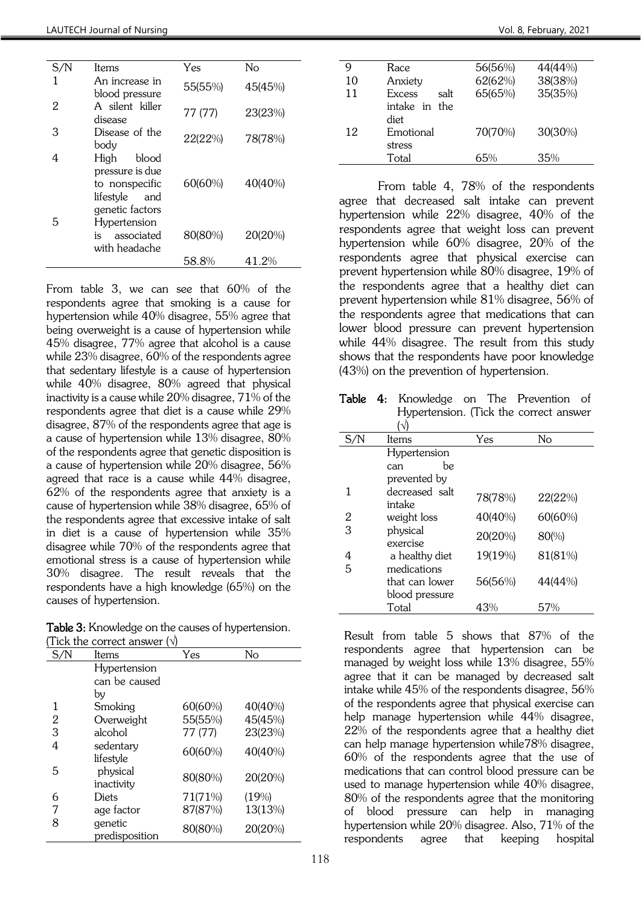| S/N | Items                                                                                     | Yes     | Nο      |
|-----|-------------------------------------------------------------------------------------------|---------|---------|
|     | An increase in<br>blood pressure                                                          | 55(55%) | 45(45%) |
| 2   | A silent killer<br>disease                                                                | 77 (77) | 23(23%) |
| 3   | Disease of the<br>body                                                                    | 22(22%) | 78(78%) |
| 4   | High<br>blood<br>pressure is due<br>to nonspecific<br>lifestyle<br>and<br>genetic factors | 60(60%) | 40(40%) |
| 5   | Hypertension<br>associated<br>is<br>with headache                                         | 80(80%) | 20(20%) |
|     |                                                                                           | 58.8%   | 41.2%   |

From table 3, we can see that 60% of the respondents agree that smoking is a cause for hypertension while 40% disagree, 55% agree that being overweight is a cause of hypertension while 45% disagree, 77% agree that alcohol is a cause while 23% disagree, 60% of the respondents agree that sedentary lifestyle is a cause of hypertension while 40% disagree, 80% agreed that physical inactivity is a cause while 20% disagree, 71% of the respondents agree that diet is a cause while 29% disagree, 87% of the respondents agree that age is a cause of hypertension while 13% disagree, 80% of the respondents agree that genetic disposition is a cause of hypertension while 20% disagree, 56% agreed that race is a cause while 44% disagree, 62% of the respondents agree that anxiety is a cause of hypertension while 38% disagree, 65% of the respondents agree that excessive intake of salt in diet is a cause of hypertension while 35% disagree while 70% of the respondents agree that emotional stress is a cause of hypertension while 30% disagree. The result reveals that the respondents have a high knowledge (65%) on the causes of hypertension.

Table 3: Knowledge on the causes of hypertension. (Tick the correct answer  $($  $\sqrt{}$ )

| S/N            | Items          | Yes     | No      |
|----------------|----------------|---------|---------|
|                | Hypertension   |         |         |
|                | can be caused  |         |         |
|                | by             |         |         |
| 1              | Smoking        | 60(60%) | 40(40%) |
| $\overline{2}$ | Overweight     | 55(55%) | 45(45%) |
| 3              | alcohol        | 77 (77) | 23(23%) |
| 4              | sedentary      | 60(60%) | 40(40%) |
|                | lifestyle      |         |         |
| 5              | physical       | 80(80%) | 20(20%) |
|                | inactivity     |         |         |
| 6              | <b>Diets</b>   | 71(71%) | (19%)   |
| 7              | age factor     | 87(87%) | 13(13%) |
| 8              | genetic        | 80(80%) | 20(20%) |
|                | predisposition |         |         |

| 9  | Race           | 56(56%) | 44(44%) |
|----|----------------|---------|---------|
| 10 | Anxiety        | 62(62%) | 38(38%) |
| 11 | Excess<br>salt | 65(65%) | 35(35%) |
|    | intake in the  |         |         |
|    | diet           |         |         |
| 12 | Emotional      | 70(70%) | 30(30%) |
|    | stress         |         |         |
|    | Total          | 65%     | 35%     |

From table 4, 78% of the respondents agree that decreased salt intake can prevent hypertension while 22% disagree, 40% of the respondents agree that weight loss can prevent hypertension while 60% disagree, 20% of the respondents agree that physical exercise can prevent hypertension while 80% disagree, 19% of the respondents agree that a healthy diet can prevent hypertension while 81% disagree, 56% of the respondents agree that medications that can lower blood pressure can prevent hypertension while 44% disagree. The result from this study shows that the respondents have poor knowledge (43%) on the prevention of hypertension.

Table 4: Knowledge on The Prevention of Hypertension. (Tick the correct answer

| S/N | Items                    | Yes     | No      |
|-----|--------------------------|---------|---------|
|     | Hypertension             |         |         |
|     | be<br>can                |         |         |
|     | prevented by             |         |         |
|     | decreased salt<br>intake | 78(78%) | 22(22%) |
| 2   | weight loss              | 40(40%) | 60(60%) |
| 3   | physical<br>exercise     | 20(20%) | 80(%)   |
| 4   | a healthy diet           | 19(19%) | 81(81%) |
| 5   | medications              |         |         |
|     | that can lower           | 56(56%) | 44(44%) |
|     | blood pressure           |         |         |
|     | Total                    | 43%     | 57%     |

Result from table 5 shows that 87% of the respondents agree that hypertension can be managed by weight loss while 13% disagree, 55% agree that it can be managed by decreased salt intake while 45% of the respondents disagree, 56% of the respondents agree that physical exercise can help manage hypertension while 44% disagree, 22% of the respondents agree that a healthy diet can help manage hypertension while78% disagree, 60% of the respondents agree that the use of medications that can control blood pressure can be used to manage hypertension while 40% disagree, 80% of the respondents agree that the monitoring of blood pressure can help in managing hypertension while 20% disagree. Also, 71% of the respondents agree that keeping hospital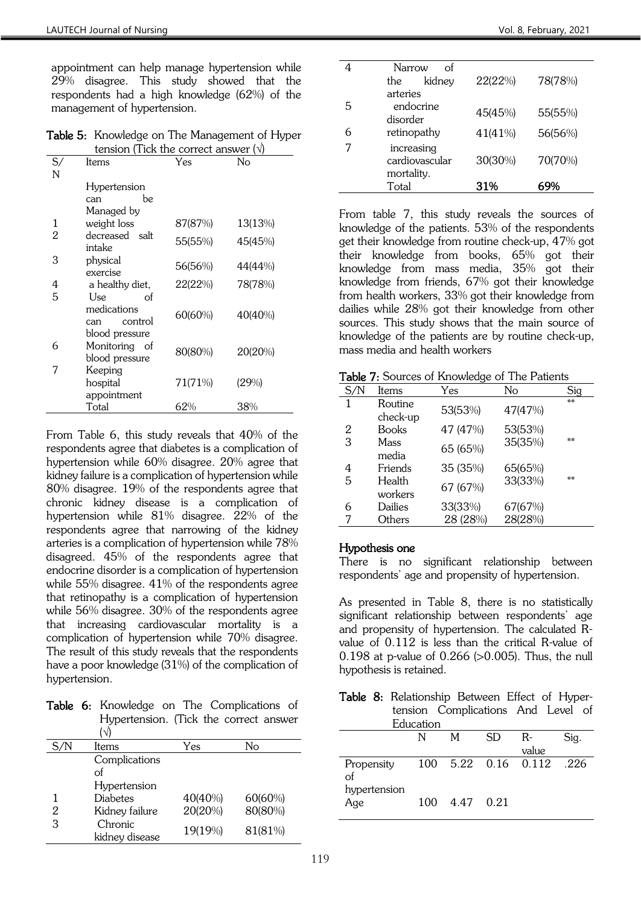appointment can help manage hypertension while 29% disagree. This study showed that the respondents had a high knowledge (62%) of the management of hypertension.

Table 5: Knowledge on The Management of Hyper tension (Tick the correct answer  $(\sqrt{)}$ 

|              | consider them are correct answer (1) |         |         |
|--------------|--------------------------------------|---------|---------|
| $S_{\prime}$ | Items                                | Yes     | No      |
| N            |                                      |         |         |
|              | Hypertension                         |         |         |
|              | be<br>can                            |         |         |
|              | Managed by                           |         |         |
| 1            | weight loss                          | 87(87%) | 13(13%) |
| 2            | decreased salt<br>intake             | 55(55%) | 45(45%) |
| 3            | physical<br>exercise                 | 56(56%) | 44(44%) |
| 4            | a healthy diet,                      | 22(22%) | 78(78%) |
| 5            | Use<br>οf                            |         |         |
|              | medications<br>control<br>can        | 60(60%) | 40(40%) |
|              | blood pressure                       |         |         |
| 6            | Monitoring of<br>blood pressure      | 80(80%) | 20(20%) |
| 7            | Keeping                              |         |         |
|              | hospital                             | 71(71%) | (29%)   |
|              | appointment                          |         |         |
|              | Total                                | 62%     | 38%     |

From Table 6, this study reveals that 40% of the respondents agree that diabetes is a complication of hypertension while 60% disagree. 20% agree that kidney failure is a complication of hypertension while 80% disagree. 19% of the respondents agree that chronic kidney disease is a complication of hypertension while 81% disagree. 22% of the respondents agree that narrowing of the kidney arteries is a complication of hypertension while 78% disagreed. 45% of the respondents agree that endocrine disorder is a complication of hypertension while 55% disagree. 41% of the respondents agree that retinopathy is a complication of hypertension while 56% disagree. 30% of the respondents agree that increasing cardiovascular mortality is a complication of hypertension while 70% disagree. The result of this study reveals that the respondents have a poor knowledge (31%) of the complication of hypertension.

Table 6: Knowledge on The Complications of Hypertension. (Tick the correct answer  $\int$ 

|     | I VJ            |         |         |
|-----|-----------------|---------|---------|
| S/N | Items           | Yes     | No      |
|     | Complications   |         |         |
|     | Ωf              |         |         |
|     | Hypertension    |         |         |
|     | <b>Diabetes</b> | 40(40%) | 60(60%) |
| 2   | Kidney failure  | 20(20%) | 80(80%) |
| 3   | Chronic         | 19(19%) | 81(81%) |
|     | kidney disease  |         |         |

|   | Narrow<br>οf   |         |         |
|---|----------------|---------|---------|
|   | kidney<br>the  | 22(22%) | 78(78%) |
|   | arteries       |         |         |
| 5 | endocrine      | 45(45%) | 55(55%) |
|   | disorder       |         |         |
| 6 | retinopathy    | 41(41%) | 56(56%) |
|   | increasing     |         |         |
|   | cardiovascular | 30(30%) | 70(70%) |
|   | mortality.     |         |         |
|   | Total          | 31%     |         |

From table 7, this study reveals the sources of knowledge of the patients. 53% of the respondents get their knowledge from routine check-up, 47% got their knowledge from books, 65% got their knowledge from mass media, 35% got their knowledge from friends, 67% got their knowledge from health workers, 33% got their knowledge from dailies while 28% got their knowledge from other sources. This study shows that the main source of knowledge of the patients are by routine check-up, mass media and health workers

| Table 7: Sources of Knowledge of The Patients |  |
|-----------------------------------------------|--|
|-----------------------------------------------|--|

| i uvic<br>1. Cources of I showing of The Putting |                     |          |         |      |
|--------------------------------------------------|---------------------|----------|---------|------|
| S/N                                              | Items               | Yes      | No      | Sig  |
| 1                                                | Routine<br>check-up | 53(53%)  | 47(47%) | $**$ |
| 2                                                | <b>Books</b>        | 47 (47%) | 53(53%) |      |
| 3                                                | Mass<br>media       | 65 (65%) | 35(35%) | $**$ |
| 4                                                | Friends             | 35 (35%) | 65(65%) |      |
| 5                                                | Health<br>workers   | 67 (67%) | 33(33%) | $**$ |
| 6                                                | Dailies             | 33(33%)  | 67(67%) |      |
|                                                  | Others              | 28 (28%) | 28(28%) |      |

### Hypothesis one

There is no significant relationship between respondents' age and propensity of hypertension.

As presented in Table 8, there is no statistically significant relationship between respondents' age and propensity of hypertension. The calculated Rvalue of 0.112 is less than the critical R-value of 0.198 at p-value of 0.266 (>0.005). Thus, the null hypothesis is retained.

Table 8: Relationship Between Effect of Hypertension Complications And Level of Education

|                     | Luucalion |           |           |                     |       |
|---------------------|-----------|-----------|-----------|---------------------|-------|
|                     |           | M         | <b>SD</b> | $R-$                | Siq.  |
|                     |           |           |           | value               |       |
| Propensity<br>οf    |           |           |           | 100 5.22 0.16 0.112 | - 226 |
| hypertension<br>Age | 100       | 4.47 0.21 |           |                     |       |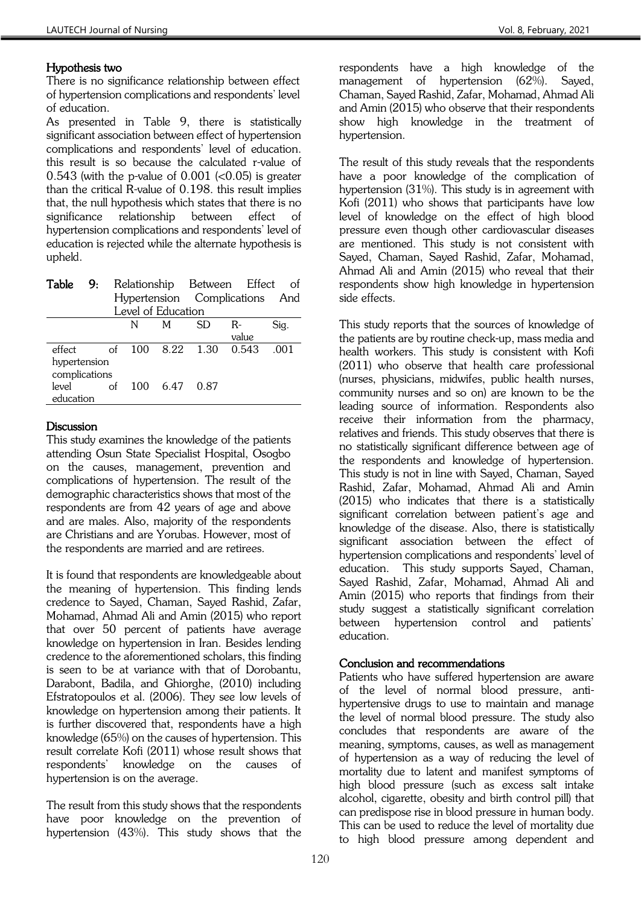## Hypothesis two

There is no significance relationship between effect of hypertension complications and respondents' level of education.

As presented in Table 9, there is statistically significant association between effect of hypertension complications and respondents' level of education. this result is so because the calculated r-value of 0.543 (with the p-value of  $0.001$  ( $0.05$ ) is greater than the critical R-value of 0.198. this result implies that, the null hypothesis which states that there is no significance relationship between effect of hypertension complications and respondents' level of education is rejected while the alternate hypothesis is upheld.

| Table                         | 9:                 |    |   |          | Relationship Between Effect    |       |      |
|-------------------------------|--------------------|----|---|----------|--------------------------------|-------|------|
|                               |                    |    |   |          | Hypertension Complications And |       |      |
|                               | Level of Education |    |   |          |                                |       |      |
|                               |                    |    | N | M        | SD.                            | $R-$  | Sig. |
|                               |                    |    |   |          |                                | value |      |
| effect                        |                    | of |   | 100 8.22 | 1.30                           | 0.543 | -001 |
| hypertension<br>complications |                    |    |   |          |                                |       |      |
| level<br>education            |                    | of |   |          | 100 6.47 0.87                  |       |      |

# **Discussion**

This study examines the knowledge of the patients attending Osun State Specialist Hospital, Osogbo on the causes, management, prevention and complications of hypertension. The result of the demographic characteristics shows that most of the respondents are from 42 years of age and above and are males. Also, majority of the respondents are Christians and are Yorubas. However, most of the respondents are married and are retirees.

It is found that respondents are knowledgeable about the meaning of hypertension. This finding lends credence to Sayed, Chaman, Sayed Rashid, Zafar, Mohamad, Ahmad Ali and Amin (2015) who report that over 50 percent of patients have average knowledge on hypertension in Iran. Besides lending credence to the aforementioned scholars, this finding is seen to be at variance with that of Dorobantu, Darabont, Badila, and Ghiorghe, (2010) including Efstratopoulos et al. (2006). They see low levels of knowledge on hypertension among their patients. It is further discovered that, respondents have a high knowledge (65%) on the causes of hypertension. This result correlate Kofi (2011) whose result shows that respondents' knowledge on the causes of hypertension is on the average.

The result from this study shows that the respondents have poor knowledge on the prevention of hypertension (43%). This study shows that the

respondents have a high knowledge of the management of hypertension (62%). Sayed, Chaman, Sayed Rashid, Zafar, Mohamad, Ahmad Ali and Amin (2015) who observe that their respondents show high knowledge in the treatment of hypertension.

The result of this study reveals that the respondents have a poor knowledge of the complication of hypertension (31%). This study is in agreement with Kofi (2011) who shows that participants have low level of knowledge on the effect of high blood pressure even though other cardiovascular diseases are mentioned. This study is not consistent with Sayed, Chaman, Sayed Rashid, Zafar, Mohamad, Ahmad Ali and Amin (2015) who reveal that their respondents show high knowledge in hypertension side effects.

This study reports that the sources of knowledge of the patients are by routine check-up, mass media and health workers. This study is consistent with Kofi (2011) who observe that health care professional (nurses, physicians, midwifes, public health nurses, community nurses and so on) are known to be the leading source of information. Respondents also receive their information from the pharmacy, relatives and friends. This study observes that there is no statistically significant difference between age of the respondents and knowledge of hypertension. This study is not in line with Sayed, Chaman, Sayed Rashid, Zafar, Mohamad, Ahmad Ali and Amin (2015) who indicates that there is a statistically significant correlation between patient's age and knowledge of the disease. Also, there is statistically significant association between the effect of hypertension complications and respondents' level of education. This study supports Sayed, Chaman, Sayed Rashid, Zafar, Mohamad, Ahmad Ali and Amin (2015) who reports that findings from their study suggest a statistically significant correlation between hypertension control and patients' education.

# Conclusion and recommendations

Patients who have suffered hypertension are aware of the level of normal blood pressure, antihypertensive drugs to use to maintain and manage the level of normal blood pressure. The study also concludes that respondents are aware of the meaning, symptoms, causes, as well as management of hypertension as a way of reducing the level of mortality due to latent and manifest symptoms of high blood pressure (such as excess salt intake alcohol, cigarette, obesity and birth control pill) that can predispose rise in blood pressure in human body. This can be used to reduce the level of mortality due to high blood pressure among dependent and